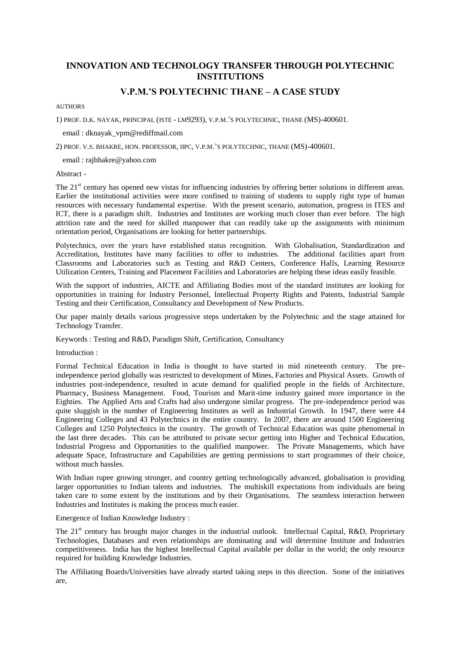# **INNOVATION AND TECHNOLOGY TRANSFER THROUGH POLYTECHNIC INSTITUTIONS**

# **V.P.M.'S POLYTECHNIC THANE – A CASE STUDY**

#### AUTHORS

1) PROF. D.K. NAYAK, PRINCIPAL (ISTE - LM9293), V.P.M.'S POLYTECHNIC, THANE (MS)-400601.

email : dknayak\_vpm@rediffmail.com

2) PROF. V.S. BHAKRE, HON. PROFESSOR, IIPC, V.P.M.'S POLYTECHNIC, THANE (MS)-400601.

email : rajbhakre@yahoo.com

Abstract -

The  $21<sup>st</sup>$  century has opened new vistas for influencing industries by offering better solutions in different areas. Earlier the institutional activities were more confined to training of students to supply right type of human resources with necessary fundamental expertise. With the present scenario, automation, progress in ITES and ICT, there is a paradigm shift. Industries and Institutes are working much closer than ever before. The high attrition rate and the need for skilled manpower that can readily take up the assignments with minimum orientation period, Organisations are looking for better partnerships.

Polytechnics, over the years have established status recognition. With Globalisation, Standardization and Accreditation, Institutes have many facilities to offer to industries. The additional facilities apart from Classrooms and Laboratories such as Testing and R&D Centers, Conference Halls, Learning Resource Utilization Centers, Training and Placement Facilities and Laboratories are helping these ideas easily feasible.

With the support of industries, AICTE and Affiliating Bodies most of the standard institutes are looking for opportunities in training for Industry Personnel, Intellectual Property Rights and Patents, Industrial Sample Testing and their Certification, Consultancy and Development of New Products.

Our paper mainly details various progressive steps undertaken by the Polytechnic and the stage attained for Technology Transfer.

Keywords : Testing and R&D, Paradigm Shift, Certification, Consultancy

Introduction :

Formal Technical Education in India is thought to have started in mid nineteenth century. The preindependence period globally was restricted to development of Mines, Factories and Physical Assets. Growth of industries post-independence, resulted in acute demand for qualified people in the fields of Architecture, Pharmacy, Business Management. Food, Tourism and Marit-time industry gained more importance in the Eighties. The Applied Arts and Crafts had also undergone similar progress. The pre-independence period was quite sluggish in the number of Engineering Institutes as well as Industrial Growth. In 1947, there were 44 Engineering Colleges and 43 Polytechnics in the entire country. In 2007, there are around 1500 Engineering Colleges and 1250 Polytechnics in the country. The growth of Technical Education was quite phenomenal in the last three decades. This can be attributed to private sector getting into Higher and Technical Education, Industrial Progress and Opportunities to the qualified manpower. The Private Managements, which have adequate Space, Infrastructure and Capabilities are getting permissions to start programmes of their choice, without much hassles.

With Indian rupee growing stronger, and country getting technologically advanced, globalisation is providing larger opportunities to Indian talents and industries. The multiskill expectations from individuals are being taken care to some extent by the institutions and by their Organisations. The seamless interaction between Industries and Institutes is making the process much easier.

Emergence of Indian Knowledge Industry :

The  $21<sup>st</sup>$  century has brought major changes in the industrial outlook. Intellectual Capital, R&D, Proprietary Technologies, Databases and even relationships are dominating and will determine Institute and Industries competitiveness. India has the highest Intellectual Capital available per dollar in the world; the only resource required for building Knowledge Industries.

The Affiliating Boards/Universities have already started taking steps in this direction. Some of the initiatives are,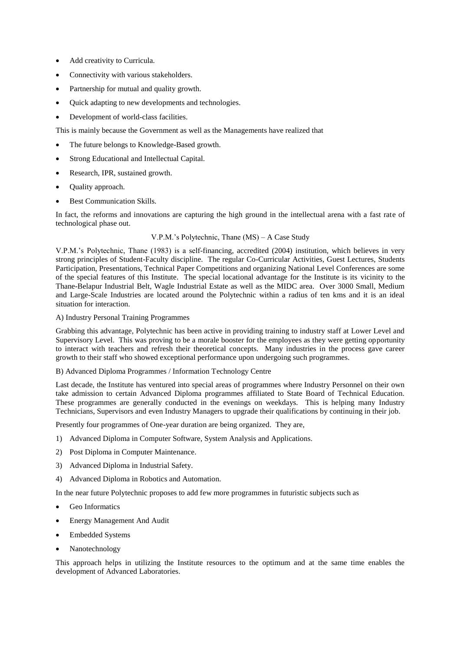- Add creativity to Curricula.
- Connectivity with various stakeholders.
- Partnership for mutual and quality growth.
- Quick adapting to new developments and technologies.
- Development of world-class facilities.

This is mainly because the Government as well as the Managements have realized that

- The future belongs to Knowledge-Based growth.
- Strong Educational and Intellectual Capital.
- Research, IPR, sustained growth.
- Quality approach.
- Best Communication Skills.

In fact, the reforms and innovations are capturing the high ground in the intellectual arena with a fast rate of technological phase out.

## V.P.M.'s Polytechnic, Thane (MS) – A Case Study

V.P.M.'s Polytechnic, Thane (1983) is a self-financing, accredited (2004) institution, which believes in very strong principles of Student-Faculty discipline. The regular Co-Curricular Activities, Guest Lectures, Students Participation, Presentations, Technical Paper Competitions and organizing National Level Conferences are some of the special features of this Institute. The special locational advantage for the Institute is its vicinity to the Thane-Belapur Industrial Belt, Wagle Industrial Estate as well as the MIDC area. Over 3000 Small, Medium and Large-Scale Industries are located around the Polytechnic within a radius of ten kms and it is an ideal situation for interaction.

## A) Industry Personal Training Programmes

Grabbing this advantage, Polytechnic has been active in providing training to industry staff at Lower Level and Supervisory Level. This was proving to be a morale booster for the employees as they were getting opportunity to interact with teachers and refresh their theoretical concepts. Many industries in the process gave career growth to their staff who showed exceptional performance upon undergoing such programmes.

## B) Advanced Diploma Programmes / Information Technology Centre

Last decade, the Institute has ventured into special areas of programmes where Industry Personnel on their own take admission to certain Advanced Diploma programmes affiliated to State Board of Technical Education. These programmes are generally conducted in the evenings on weekdays. This is helping many Industry Technicians, Supervisors and even Industry Managers to upgrade their qualifications by continuing in their job.

Presently four programmes of One-year duration are being organized. They are,

- 1) Advanced Diploma in Computer Software, System Analysis and Applications.
- 2) Post Diploma in Computer Maintenance.
- 3) Advanced Diploma in Industrial Safety.
- 4) Advanced Diploma in Robotics and Automation.

In the near future Polytechnic proposes to add few more programmes in futuristic subjects such as

- Geo Informatics
- Energy Management And Audit
- Embedded Systems
- Nanotechnology

This approach helps in utilizing the Institute resources to the optimum and at the same time enables the development of Advanced Laboratories.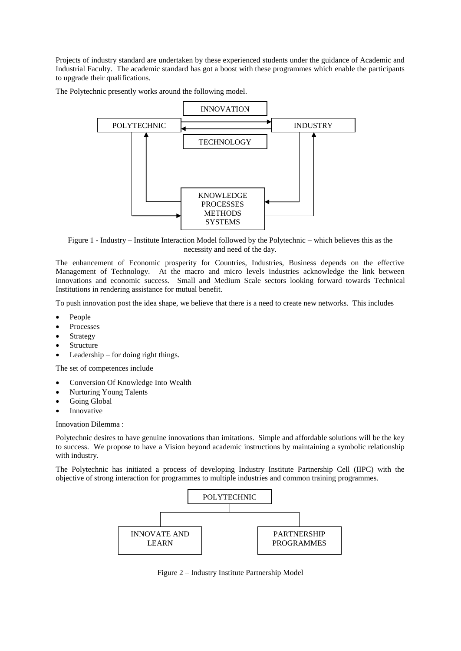Projects of industry standard are undertaken by these experienced students under the guidance of Academic and Industrial Faculty. The academic standard has got a boost with these programmes which enable the participants to upgrade their qualifications.

The Polytechnic presently works around the following model.



Figure 1 - Industry – Institute Interaction Model followed by the Polytechnic – which believes this as the necessity and need of the day.

The enhancement of Economic prosperity for Countries, Industries, Business depends on the effective Management of Technology. At the macro and micro levels industries acknowledge the link between innovations and economic success. Small and Medium Scale sectors looking forward towards Technical Institutions in rendering assistance for mutual benefit.

To push innovation post the idea shape, we believe that there is a need to create new networks. This includes

- People
- Processes
- Strategy
- Structure
- Leadership for doing right things.

The set of competences include

- Conversion Of Knowledge Into Wealth
- Nurturing Young Talents
- Going Global
- Innovative

Innovation Dilemma :

Polytechnic desires to have genuine innovations than imitations. Simple and affordable solutions will be the key to success. We propose to have a Vision beyond academic instructions by maintaining a symbolic relationship with industry.

The Polytechnic has initiated a process of developing Industry Institute Partnership Cell (IIPC) with the objective of strong interaction for programmes to multiple industries and common training programmes.



Figure 2 – Industry Institute Partnership Model